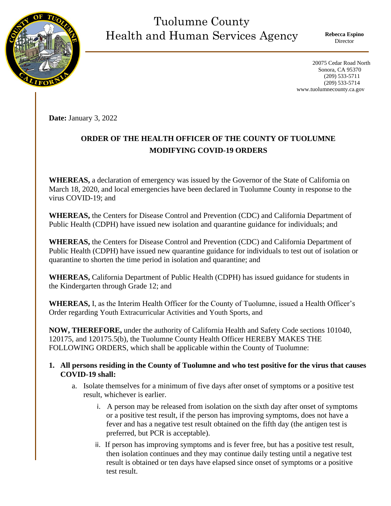## Tuolumne County Health and Human Services Agency

**Rebecca Espino** Director

 20075 Cedar Road North Sonora, CA 95370 (209) 533-5711 (209) 533-5714 www.tuolumnecounty.ca.gov

**Date:** January 3, 2022

## **ORDER OF THE HEALTH OFFICER OF THE COUNTY OF TUOLUMNE MODIFYING COVID-19 ORDERS**

**WHEREAS,** a declaration of emergency was issued by the Governor of the State of California on March 18, 2020, and local emergencies have been declared in Tuolumne County in response to the virus COVID-19; and

**WHEREAS,** the Centers for Disease Control and Prevention (CDC) and California Department of Public Health (CDPH) have issued new isolation and quarantine guidance for individuals; and

**WHEREAS,** the Centers for Disease Control and Prevention (CDC) and California Department of Public Health (CDPH) have issued new quarantine guidance for individuals to test out of isolation or quarantine to shorten the time period in isolation and quarantine; and

**WHEREAS,** California Department of Public Health (CDPH) has issued guidance for students in the Kindergarten through Grade 12; and

**WHEREAS,** I, as the Interim Health Officer for the County of Tuolumne, issued a Health Officer's Order regarding Youth Extracurricular Activities and Youth Sports, and

**NOW, THEREFORE,** under the authority of California Health and Safety Code sections 101040, 120175, and 120175.5(b), the Tuolumne County Health Officer HEREBY MAKES THE FOLLOWING ORDERS, which shall be applicable within the County of Tuolumne:

## **1. All persons residing in the County of Tuolumne and who test positive for the virus that causes COVID-19 shall:**

- a. Isolate themselves for a minimum of five days after onset of symptoms or a positive test result, whichever is earlier.
	- i. A person may be released from isolation on the sixth day after onset of symptoms or a positive test result, if the person has improving symptoms, does not have a fever and has a negative test result obtained on the fifth day (the antigen test is preferred, but PCR is acceptable).
	- ii. If person has improving symptoms and is fever free, but has a positive test result, then isolation continues and they may continue daily testing until a negative test result is obtained or ten days have elapsed since onset of symptoms or a positive test result.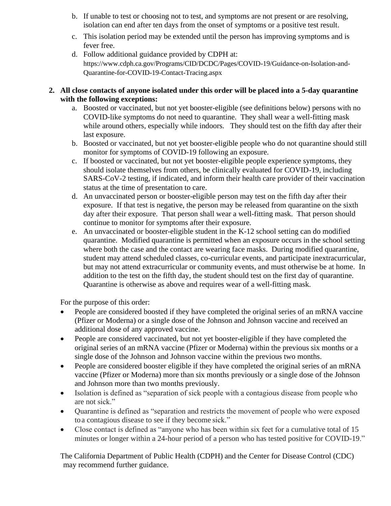- b. If unable to test or choosing not to test, and symptoms are not present or are resolving, isolation can end after ten days from the onset of symptoms or a positive test result.
- c. This isolation period may be extended until the person has improving symptoms and is fever free.
- d. Follow additional guidance provided by CDPH at: https://www.cdph.ca.gov/Programs/CID/DCDC/Pages/COVID-19/Guidance-on-Isolation-and-Quarantine-for-COVID-19-Contact-Tracing.aspx

## **2. All close contacts of anyone isolated under this order will be placed into a 5-day quarantine with the following exceptions:**

- a. Boosted or vaccinated, but not yet booster-eligible (see definitions below) persons with no COVID-like symptoms do not need to quarantine. They shall wear a well-fitting mask while around others, especially while indoors. They should test on the fifth day after their last exposure.
- b. Boosted or vaccinated, but not yet booster-eligible people who do not quarantine should still monitor for symptoms of COVID-19 following an exposure.
- c. If boosted or vaccinated, but not yet booster-eligible people experience symptoms, they should isolate themselves from others, be clinically evaluated for COVID-19, including SARS-CoV-2 testing, if indicated, and inform their health care provider of their vaccination status at the time of presentation to care.
- d. An unvaccinated person or booster-eligible person may test on the fifth day after their exposure. If that test is negative, the person may be released from quarantine on the sixth day after their exposure. That person shall wear a well-fitting mask. That person should continue to monitor for symptoms after their exposure.
- e. An unvaccinated or booster-eligible student in the K-12 school setting can do modified quarantine. Modified quarantine is permitted when an exposure occurs in the school setting where both the case and the contact are wearing face masks. During modified quarantine, student may attend scheduled classes, co-curricular events, and participate inextracurricular, but may not attend extracurricular or community events, and must otherwise be at home. In addition to the test on the fifth day, the student should test on the first day of quarantine. Quarantine is otherwise as above and requires wear of a well-fitting mask.

For the purpose of this order:

- People are considered boosted if they have completed the original series of an mRNA vaccine (Pfizer or Moderna) or a single dose of the Johnson and Johnson vaccine and received an additional dose of any approved vaccine.
- People are considered vaccinated, but not yet booster-eligible if they have completed the original series of an mRNA vaccine (Pfizer or Moderna) within the previous six months or a single dose of the Johnson and Johnson vaccine within the previous two months.
- People are considered booster eligible if they have completed the original series of an mRNA vaccine (Pfizer or Moderna) more than six months previously or a single dose of the Johnson and Johnson more than two months previously.
- Isolation is defined as "separation of sick people with a contagious disease from people who are not sick."
- Quarantine is defined as "separation and restricts the movement of people who were exposed toa contagious disease to see if they become sick."
- Close contact is defined as "anyone who has been within six feet for a cumulative total of 15 minutes or longer within a 24-hour period of a person who has tested positive for COVID-19."

The California Department of Public Health (CDPH) and the Center for Disease Control (CDC) may recommend further guidance.